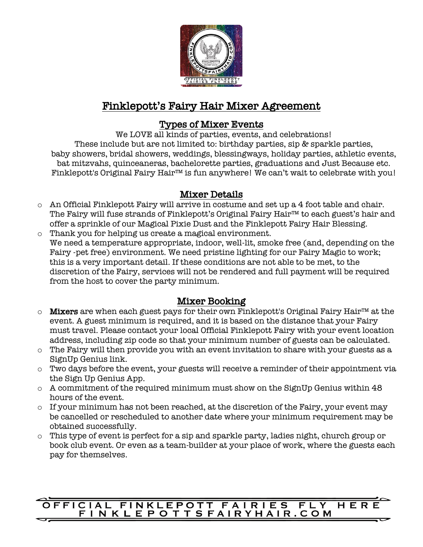

# Finklepott's Fairy Hair Mixer Agreement

# Types of Mixer Events

We LOVE all kinds of parties, events, and celebrations! These include but are not limited to: birthday parties, sip & sparkle parties, baby showers, bridal showers, weddings, blessingways, holiday parties, athletic events, bat mitzvahs, quinceaneras, bachelorette parties, graduations and Just Because etc. Finklepott's Original Fairy Hair™ is fun anywhere! We can't wait to celebrate with you!

## Mixer Details

- o An Official Finklepott Fairy will arrive in costume and set up a 4 foot table and chair. The Fairy will fuse strands of Finklepott's Original Fairy Hair™ to each guest's hair and offer a sprinkle of our Magical Pixie Dust and the Finklepott Fairy Hair Blessing.
- o Thank you for helping us create a magical environment. We need a temperature appropriate, indoor, well-lit, smoke free (and, depending on the Fairy -pet free) environment. We need pristine lighting for our Fairy Magic to work; this is a very important detail. If these conditions are not able to be met, to the discretion of the Fairy, services will not be rendered and full payment will be required from the host to cover the party minimum.

# Mixer Booking

- o **Mixers** are when each guest pays for their own Finklepott's Original Fairy Hair™ at the event. A guest minimum is required, and it is based on the distance that your Fairy must travel. Please contact your local Official Finklepott Fairy with your event location address, including zip code so that your minimum number of guests can be calculated.
- o The Fairy will then provide you with an event invitation to share with your guests as a SignUp Genius link.
- o Two days before the event, your guests will receive a reminder of their appointment via the Sign Up Genius App.
- o A commitment of the required minimum must show on the SignUp Genius within 48 hours of the event.
- o If your minimum has not been reached, at the discretion of the Fairy, your event may be cancelled or rescheduled to another date where your minimum requirement may be obtained successfully.
- o This type of event is perfect for a sip and sparkle party, ladies night, church group or book club event. Or even as a team-builder at your place of work, where the guests each pay for themselves.

#### OFFICIAL FINKLEPOTT FAIRIES FLY HER FINKLEPOTTSFAIRYHAIR.COM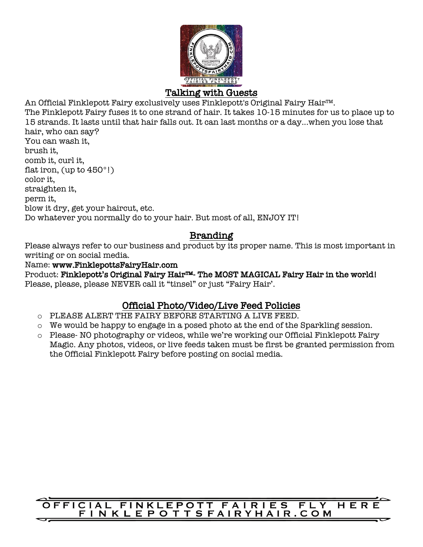

#### Talking with Guests

An Official Finklepott Fairy exclusively uses Finklepott's Original Fairy Hair™. The Finklepott Fairy fuses it to one strand of hair. It takes 10-15 minutes for us to place up to 15 strands. It lasts until that hair falls out. It can last months or a day...when you lose that hair, who can say? You can wash it, brush it, comb it, curl it, flat iron, (up to 450°!)

color it, straighten it, perm it, blow it dry, get your haircut, etc. Do whatever you normally do to your hair. But most of all, ENJOY IT!

## Branding

Please always refer to our business and product by its proper name. This is most important in writing or on social media.

Name: www.FinklepottsFairyHair.com

Product: Finklepott's Original Fairy Hair™- The MOST MAGICAL Fairy Hair in the world! Please, please, please NEVER call it "tinsel" or just "Fairy Hair'.

# Official Photo/Video/Live Feed Policies

- o PLEASE ALERT THE FAIRY BEFORE STARTING A LIVE FEED.
- o We would be happy to engage in a posed photo at the end of the Sparkling session.
- o Please- NO photography or videos, while we're working our Official Finklepott Fairy Magic. Any photos, videos, or live feeds taken must be first be granted permission from the Official Finklepott Fairy before posting on social media.

#### **FFICIAL FINKLEPOTT FAIRIES FLY** HER FINKLEPOTTSFAIRYHAIR.COM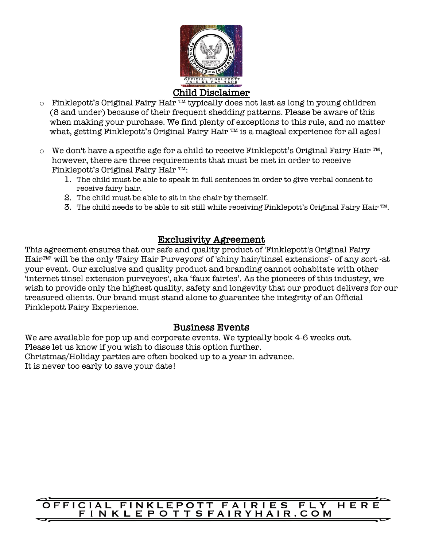

- o Finklepott's Original Fairy Hair ™ typically does not last as long in young children (8 and under) because of their frequent shedding patterns. Please be aware of this when making your purchase. We find plenty of exceptions to this rule, and no matter what, getting Finklepott's Original Fairy Hair ™ is a magical experience for all ages!
- o We don't have a specific age for a child to receive Finklepott's Original Fairy Hair ™, however, there are three requirements that must be met in order to receive Finklepott's Original Fairy Hair ™:
	- 1. The child must be able to speak in full sentences in order to give verbal consent to receive fairy hair.
	- 2. The child must be able to sit in the chair by themself.
	- 3. The child needs to be able to sit still while receiving Finklepott's Original Fairy Hair ™.

# Exclusivity Agreement

This agreement ensures that our safe and quality product of 'Finklepott's Original Fairy Hair™' will be the only 'Fairy Hair Purveyors' of 'shiny hair/tinsel extensions'- of any sort -at your event. Our exclusive and quality product and branding cannot cohabitate with other 'internet tinsel extension purveyors', aka 'faux fairies'. As the pioneers of this industry, we wish to provide only the highest quality, safety and longevity that our product delivers for our treasured clients. Our brand must stand alone to guarantee the integrity of an Official Finklepott Fairy Experience.

## Business Events

We are available for pop up and corporate events. We typically book 4-6 weeks out. Please let us know if you wish to discuss this option further. Christmas/Holiday parties are often booked up to a year in advance. It is never too early to save your date!

## **FFICIAL FINKLEPOTT FAIRIES FLY HER** FINKLEPOTTSFAIRYHAIR.COM